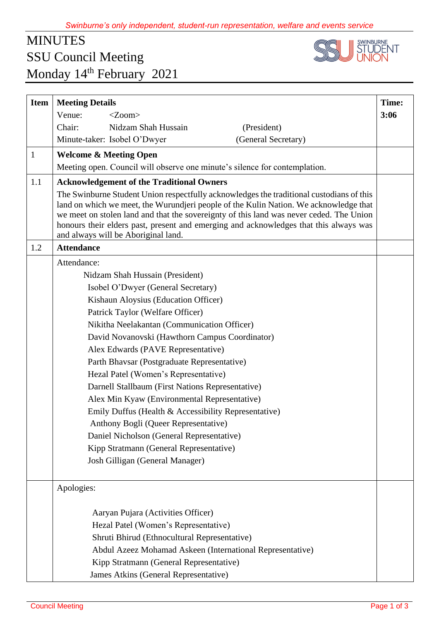## MINUTES SSU Council Meeting Monday 14<sup>th</sup> February 2021



| <b>Item</b>  | <b>Meeting Details</b>                                                                                                                                                                                                                                                                                                                                                                                       | Time: |
|--------------|--------------------------------------------------------------------------------------------------------------------------------------------------------------------------------------------------------------------------------------------------------------------------------------------------------------------------------------------------------------------------------------------------------------|-------|
|              | Venue:<br>$<$ Zoom $>$                                                                                                                                                                                                                                                                                                                                                                                       | 3:06  |
|              | Chair:<br>Nidzam Shah Hussain<br>(President)                                                                                                                                                                                                                                                                                                                                                                 |       |
|              | (General Secretary)<br>Minute-taker: Isobel O'Dwyer                                                                                                                                                                                                                                                                                                                                                          |       |
| $\mathbf{1}$ | <b>Welcome &amp; Meeting Open</b>                                                                                                                                                                                                                                                                                                                                                                            |       |
|              | Meeting open. Council will observe one minute's silence for contemplation.                                                                                                                                                                                                                                                                                                                                   |       |
| 1.1          | <b>Acknowledgement of the Traditional Owners</b>                                                                                                                                                                                                                                                                                                                                                             |       |
|              | The Swinburne Student Union respectfully acknowledges the traditional custodians of this<br>land on which we meet, the Wurundjeri people of the Kulin Nation. We acknowledge that<br>we meet on stolen land and that the sovereignty of this land was never ceded. The Union<br>honours their elders past, present and emerging and acknowledges that this always was<br>and always will be Aboriginal land. |       |
| 1.2          | <b>Attendance</b>                                                                                                                                                                                                                                                                                                                                                                                            |       |
|              | Attendance:                                                                                                                                                                                                                                                                                                                                                                                                  |       |
|              | Nidzam Shah Hussain (President)                                                                                                                                                                                                                                                                                                                                                                              |       |
|              | Isobel O'Dwyer (General Secretary)                                                                                                                                                                                                                                                                                                                                                                           |       |
|              | Kishaun Aloysius (Education Officer)                                                                                                                                                                                                                                                                                                                                                                         |       |
|              | Patrick Taylor (Welfare Officer)                                                                                                                                                                                                                                                                                                                                                                             |       |
|              | Nikitha Neelakantan (Communication Officer)                                                                                                                                                                                                                                                                                                                                                                  |       |
|              | David Novanovski (Hawthorn Campus Coordinator)                                                                                                                                                                                                                                                                                                                                                               |       |
|              | Alex Edwards (PAVE Representative)                                                                                                                                                                                                                                                                                                                                                                           |       |
|              | Parth Bhavsar (Postgraduate Representative)                                                                                                                                                                                                                                                                                                                                                                  |       |
|              | Hezal Patel (Women's Representative)                                                                                                                                                                                                                                                                                                                                                                         |       |
|              | Darnell Stallbaum (First Nations Representative)                                                                                                                                                                                                                                                                                                                                                             |       |
|              | Alex Min Kyaw (Environmental Representative)                                                                                                                                                                                                                                                                                                                                                                 |       |
|              | Emily Duffus (Health & Accessibility Representative)                                                                                                                                                                                                                                                                                                                                                         |       |
|              | Anthony Bogli (Queer Representative)                                                                                                                                                                                                                                                                                                                                                                         |       |
|              | Daniel Nicholson (General Representative)                                                                                                                                                                                                                                                                                                                                                                    |       |
|              | Kipp Stratmann (General Representative)                                                                                                                                                                                                                                                                                                                                                                      |       |
|              | Josh Gilligan (General Manager)                                                                                                                                                                                                                                                                                                                                                                              |       |
|              | Apologies:                                                                                                                                                                                                                                                                                                                                                                                                   |       |
|              |                                                                                                                                                                                                                                                                                                                                                                                                              |       |
|              | Aaryan Pujara (Activities Officer)                                                                                                                                                                                                                                                                                                                                                                           |       |
|              | Hezal Patel (Women's Representative)                                                                                                                                                                                                                                                                                                                                                                         |       |
|              | Shruti Bhirud (Ethnocultural Representative)                                                                                                                                                                                                                                                                                                                                                                 |       |
|              | Abdul Azeez Mohamad Askeen (International Representative)                                                                                                                                                                                                                                                                                                                                                    |       |
|              | Kipp Stratmann (General Representative)                                                                                                                                                                                                                                                                                                                                                                      |       |
|              | James Atkins (General Representative)                                                                                                                                                                                                                                                                                                                                                                        |       |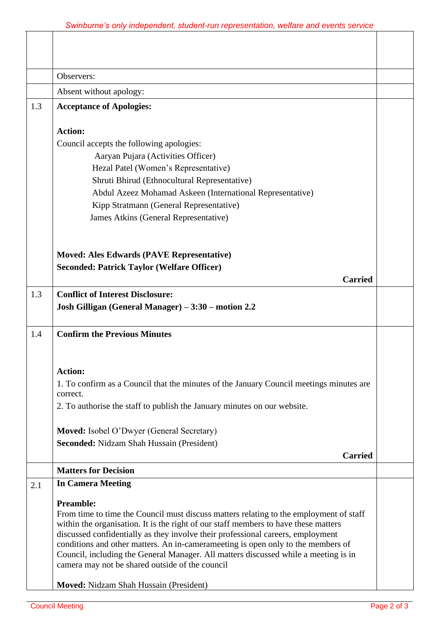|     | Observers:                                                                                                                                                          |  |
|-----|---------------------------------------------------------------------------------------------------------------------------------------------------------------------|--|
|     | Absent without apology:                                                                                                                                             |  |
| 1.3 | <b>Acceptance of Apologies:</b>                                                                                                                                     |  |
|     |                                                                                                                                                                     |  |
|     | <b>Action:</b>                                                                                                                                                      |  |
|     | Council accepts the following apologies:                                                                                                                            |  |
|     | Aaryan Pujara (Activities Officer)                                                                                                                                  |  |
|     | Hezal Patel (Women's Representative)                                                                                                                                |  |
|     | Shruti Bhirud (Ethnocultural Representative)                                                                                                                        |  |
|     | Abdul Azeez Mohamad Askeen (International Representative)                                                                                                           |  |
|     | Kipp Stratmann (General Representative)                                                                                                                             |  |
|     | James Atkins (General Representative)                                                                                                                               |  |
|     |                                                                                                                                                                     |  |
|     |                                                                                                                                                                     |  |
|     | <b>Moved: Ales Edwards (PAVE Representative)</b>                                                                                                                    |  |
|     | <b>Seconded: Patrick Taylor (Welfare Officer)</b>                                                                                                                   |  |
|     | <b>Carried</b>                                                                                                                                                      |  |
| 1.3 | <b>Conflict of Interest Disclosure:</b>                                                                                                                             |  |
|     | Josh Gilligan (General Manager) - 3:30 - motion 2.2                                                                                                                 |  |
|     |                                                                                                                                                                     |  |
| 1.4 | <b>Confirm the Previous Minutes</b>                                                                                                                                 |  |
|     |                                                                                                                                                                     |  |
|     |                                                                                                                                                                     |  |
|     | <b>Action:</b>                                                                                                                                                      |  |
|     | 1. To confirm as a Council that the minutes of the January Council meetings minutes are                                                                             |  |
|     | correct.                                                                                                                                                            |  |
|     | 2. To authorise the staff to publish the January minutes on our website.                                                                                            |  |
|     | <b>Moved:</b> Isobel O'Dwyer (General Secretary)                                                                                                                    |  |
|     | Seconded: Nidzam Shah Hussain (President)                                                                                                                           |  |
|     | <b>Carried</b>                                                                                                                                                      |  |
|     | <b>Matters for Decision</b>                                                                                                                                         |  |
|     | <b>In Camera Meeting</b>                                                                                                                                            |  |
| 2.1 |                                                                                                                                                                     |  |
|     | <b>Preamble:</b>                                                                                                                                                    |  |
|     | From time to time the Council must discuss matters relating to the employment of staff                                                                              |  |
|     | within the organisation. It is the right of our staff members to have these matters                                                                                 |  |
|     | discussed confidentially as they involve their professional careers, employment<br>conditions and other matters. An in-camerameeting is open only to the members of |  |
|     | Council, including the General Manager. All matters discussed while a meeting is in                                                                                 |  |
|     | camera may not be shared outside of the council                                                                                                                     |  |
|     |                                                                                                                                                                     |  |
|     | Moved: Nidzam Shah Hussain (President)                                                                                                                              |  |